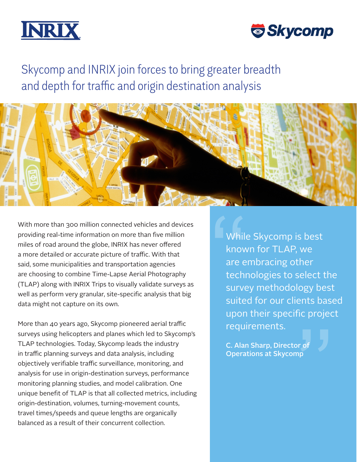



# Skycomp and INRIX join forces to bring greater breadth and depth for traffic and origin destination analysis



With more than 300 million connected vehicles and devices providing real-time information on more than five million miles of road around the globe, INRIX has never offered a more detailed or accurate picture of traffic. With that said, some municipalities and transportation agencies are choosing to combine Time-Lapse Aerial Photography (TLAP) along with INRIX Trips to visually validate surveys as well as perform very granular, site-specific analysis that big data might not capture on its own.

More than 40 years ago, Skycomp pioneered aerial traffic surveys using helicopters and planes which led to Skycomp's TLAP technologies. Today, Skycomp leads the industry in traffic planning surveys and data analysis, including objectively verifiable traffic surveillance, monitoring, and analysis for use in origin-destination surveys, performance monitoring planning studies, and model calibration. One unique benefit of TLAP is that all collected metrics, including origin-destination, volumes, turning-movement counts, travel times/speeds and queue lengths are organically balanced as a result of their concurrent collection.

While Skycomp is best known for TLAP, we are embracing other technologies to select the survey methodology best suited for our clients based upon their specific project requirements. While<br>
know<br>
are e<br>
tech<br>
surve

C. Alan Sharp, Director of "Operations at Skycomp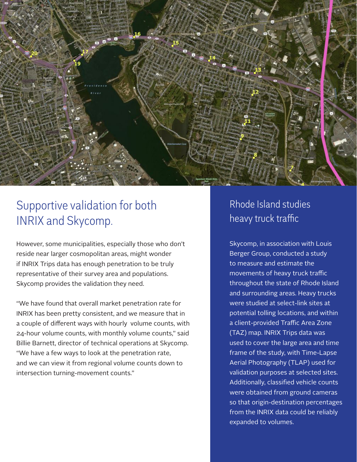

### Supportive validation for both INRIX and Skycomp.

However, some municipalities, especially those who don't reside near larger cosmopolitan areas, might wonder if INRIX Trips data has enough penetration to be truly representative of their survey area and populations. Skycomp provides the validation they need.

"We have found that overall market penetration rate for INRIX has been pretty consistent, and we measure that in a couple of different ways with hourly volume counts, with 24-hour volume counts, with monthly volume counts," said Billie Barnett, director of technical operations at Skycomp. "We have a few ways to look at the penetration rate, and we can view it from regional volume counts down to intersection turning-movement counts."

#### Rhode Island studies heavy truck traffic

Skycomp, in association with Louis Berger Group, conducted a study to measure and estimate the movements of heavy truck traffic throughout the state of Rhode Island and surrounding areas. Heavy trucks were studied at select-link sites at potential tolling locations, and within a client-provided Traffic Area Zone (TAZ) map. INRIX Trips data was used to cover the large area and time frame of the study, with Time-Lapse Aerial Photography (TLAP) used for validation purposes at selected sites. Additionally, classified vehicle counts were obtained from ground cameras so that origin-destination percentages from the INRIX data could be reliably expanded to volumes.